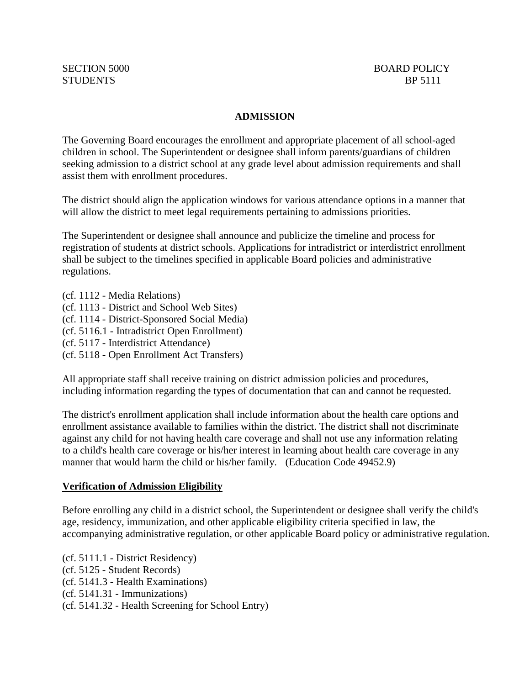## **ADMISSION**

The Governing Board encourages the enrollment and appropriate placement of all school-aged children in school. The Superintendent or designee shall inform parents/guardians of children seeking admission to a district school at any grade level about admission requirements and shall assist them with enrollment procedures.

The district should align the application windows for various attendance options in a manner that will allow the district to meet legal requirements pertaining to admissions priorities.

The Superintendent or designee shall announce and publicize the timeline and process for registration of students at district schools. Applications for intradistrict or interdistrict enrollment shall be subject to the timelines specified in applicable Board policies and administrative regulations.

- (cf. 1112 Media Relations)
- (cf. 1113 District and School Web Sites)
- (cf. 1114 District-Sponsored Social Media)
- (cf. 5116.1 Intradistrict Open Enrollment)
- (cf. 5117 Interdistrict Attendance)
- (cf. 5118 Open Enrollment Act Transfers)

All appropriate staff shall receive training on district admission policies and procedures, including information regarding the types of documentation that can and cannot be requested.

The district's enrollment application shall include information about the health care options and enrollment assistance available to families within the district. The district shall not discriminate against any child for not having health care coverage and shall not use any information relating to a child's health care coverage or his/her interest in learning about health care coverage in any manner that would harm the child or his/her family. (Education Code 49452.9)

## **Verification of Admission Eligibility**

Before enrolling any child in a district school, the Superintendent or designee shall verify the child's age, residency, immunization, and other applicable eligibility criteria specified in law, the accompanying administrative regulation, or other applicable Board policy or administrative regulation.

(cf. 5111.1 - District Residency) (cf. 5125 - Student Records) (cf. 5141.3 - Health Examinations) (cf. 5141.31 - Immunizations) (cf. 5141.32 - Health Screening for School Entry)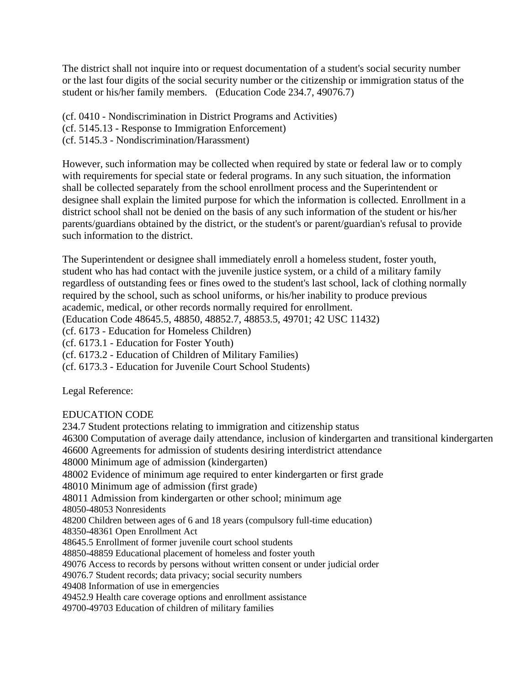The district shall not inquire into or request documentation of a student's social security number or the last four digits of the social security number or the citizenship or immigration status of the student or his/her family members. (Education Code 234.7, 49076.7)

(cf. 0410 - Nondiscrimination in District Programs and Activities)

(cf. 5145.13 - Response to Immigration Enforcement)

(cf. 5145.3 - Nondiscrimination/Harassment)

However, such information may be collected when required by state or federal law or to comply with requirements for special state or federal programs. In any such situation, the information shall be collected separately from the school enrollment process and the Superintendent or designee shall explain the limited purpose for which the information is collected. Enrollment in a district school shall not be denied on the basis of any such information of the student or his/her parents/guardians obtained by the district, or the student's or parent/guardian's refusal to provide such information to the district.

The Superintendent or designee shall immediately enroll a homeless student, foster youth, student who has had contact with the juvenile justice system, or a child of a military family regardless of outstanding fees or fines owed to the student's last school, lack of clothing normally required by the school, such as school uniforms, or his/her inability to produce previous academic, medical, or other records normally required for enrollment.

(Education Code 48645.5, 48850, 48852.7, 48853.5, 49701; 42 USC 11432)

(cf. 6173 - Education for Homeless Children)

(cf. 6173.1 - Education for Foster Youth)

(cf. 6173.2 - Education of Children of Military Families)

(cf. 6173.3 - Education for Juvenile Court School Students)

Legal Reference:

## EDUCATION CODE

234.7 Student protections relating to immigration and citizenship status 46300 Computation of average daily attendance, inclusion of kindergarten and transitional kindergarten 46600 Agreements for admission of students desiring interdistrict attendance 48000 Minimum age of admission (kindergarten) 48002 Evidence of minimum age required to enter kindergarten or first grade 48010 Minimum age of admission (first grade) 48011 Admission from kindergarten or other school; minimum age 48050-48053 Nonresidents 48200 Children between ages of 6 and 18 years (compulsory full-time education) 48350-48361 Open Enrollment Act 48645.5 Enrollment of former juvenile court school students 48850-48859 Educational placement of homeless and foster youth 49076 Access to records by persons without written consent or under judicial order 49076.7 Student records; data privacy; social security numbers 49408 Information of use in emergencies 49452.9 Health care coverage options and enrollment assistance 49700-49703 Education of children of military families